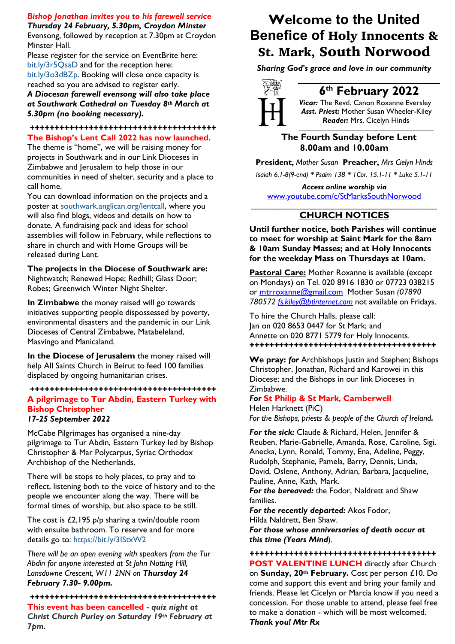### *Bishop Jonathan invites you to his farewell service*

*Thursday 24 February, 5.30pm, Croydon Minster* Evensong, followed by reception at 7.30pm at Croydon Minster Hall.

Please register for the service on EventBrite here: bit.ly/3r5QsaD and for the reception here: bit.ly/3o3dBZp. Booking will close once capacity is reached so you are advised to register early.

*A Diocesan farewell evensong will also take place at Southwark Cathedral on Tuesday 8th March at 5.30pm (no booking necessary).* 

#### *++++++++++++++++++++++++++++++++++++++* **The Bishop's Lent Call 2022 has now launched.**

The theme is "home", we will be raising money for projects in Southwark and in our Link Dioceses in Zimbabwe and Jerusalem to help those in our communities in need of shelter, security and a place to call home.

You can download information on the projects and a poster at southwark.anglican.org/lentcall, where you will also find blogs, videos and details on how to donate. A fundraising pack and ideas for school assemblies will follow in February, while reflections to share in church and with Home Groups will be released during Lent.

**The projects in the Diocese of Southwark are:**  Nightwatch; Renewed Hope; Redhill; Glass Door; Robes; Greenwich Winter Night Shelter.

**In Zimbabwe** the money raised will go towards initiatives supporting people dispossessed by poverty, environmental disasters and the pandemic in our Link Dioceses of Central Zimbabwe, Matabeleland, Masvingo and Manicaland.

**In the Diocese of Jerusalem** the money raised will help All Saints Church in Beirut to feed 100 families displaced by ongoing humanitarian crises.

#### *++++++++++++++++++++++++++++++++++++++* **A pilgrimage to Tur Abdin, Eastern Turkey with Bishop Christopher**  *17-25 September 2022*

McCabe Pilgrimages has organised a nine-day pilgrimage to Tur Abdin, Eastern Turkey led by Bishop Christopher & Mar Polycarpus, Syriac Orthodox Archbishop of the Netherlands.

There will be stops to holy places, to pray and to reflect, listening both to the voice of history and to the people we encounter along the way. There will be formal times of worship, but also space to be still.

The cost is £2,195 p/p sharing a twin/double room with ensuite bathroom. To reserve and for more details go to: https://bit.ly/3IStxW2

*There will be an open evening with speakers from the Tur Abdin for anyone interested at St John Notting Hill, Lansdowne Crescent, W11 2NN on Thursday 24 February 7.30- 9.00pm.* 

#### *++++++++++++++++++++++++++++++++++++++*

**This event has been cancelled -** *quiz night at Christ Church Purley on Saturday 19th February at 7pm.* 

# **Welcome to the United Benefice of** Holy Innocents & St. Mark, South Norwood

*Sharing God's grace and love in our community*



# **6th February 2022**

*Vicar:* The Revd. Canon Roxanne Eversley *Asst. Priest:* Mother Susan Wheeler-Kiley  *Reader:* Mrs. Cicelyn Hinds

*\_\_\_\_\_\_\_\_\_\_\_\_\_\_\_\_\_\_\_\_\_\_\_\_\_\_\_\_\_\_\_\_\_\_\_\_\_\_\_\_\_\_\_\_*

#### **The Fourth Sunday before Lent 8.00am and 10.00am**

**President,** *Mother Susan* **Preacher,** *Mrs Cielyn Hinds Isaiah 6.1-8(9-end) \* Psalm 138 \* 1Cor. 15.1-11 \* Luke 5.1-11*

*Access online worship via* www.youtube.com/c/StMarksSouthNorwood \_\_\_\_\_\_\_\_\_\_\_\_\_\_\_\_\_\_\_\_\_\_\_\_\_\_\_\_\_\_\_\_\_\_\_\_\_\_\_\_\_\_\_\_

## **CHURCH NOTICES**

**Until further notice, both Parishes will continue to meet for worship at Saint Mark for the 8am & 10am Sunday Masses; and at Holy Innocents for the weekday Mass on Thursdays at 10am.**

**Pastoral Care:** Mother Roxanne is available (except on Mondays) on Tel. 020 8916 1830 or 07723 038215 or mtrroxanne@gmail.com Mother Susan *(07890 780572 fs.kiley@btinternet.com* not available on Fridays.

To hire the Church Halls, please call: Jan on 020 8653 0447 for St Mark; and Annette on 020 8771 5779 for Holy Innocents. *++++++++++++++++++++++++++++++++++++++*

**We pray:** *for* Archbishops Justin and Stephen; Bishops Christopher, Jonathan, Richard and Karowei in this Diocese; and the Bishops in our link Dioceses in Zimbabwe.

#### *For* **St Philip & St Mark, Camberwell**

Helen Harknett (PiC) *For the Bishops, priests & people of the Church of Ireland.*

*For the sick:* Claude & Richard, Helen, Jennifer & Reuben, Marie-Gabrielle, Amanda, Rose, Caroline, Sigi, Anecka, Lynn, Ronald, Tommy, Ena, Adeline, Peggy, Rudolph, Stephanie, Pamela, Barry, Dennis, Linda, David, Oslene, Anthony, Adrian, Barbara, Jacqueline, Pauline, Anne, Kath, Mark.

*For the bereaved:* the Fodor, Naldrett and Shaw families.

*For the recently departed:* Akos Fodor, Hilda Naldrett, Ben Shaw.

*For those whose anniversaries of death occur at this time (Years Mind*).

*++++++++++++++++++++++++++++++++++++++* **POST VALENTINE LUNCH** directly after Church on **Sunday, 20th February.** Cost per person £10. Do come and support this event and bring your family and friends. Please let Cicelyn or Marcia know if you need a concession. For those unable to attend, please feel free to make a donation - which will be most welcomed. *Thank you! Mtr Rx*